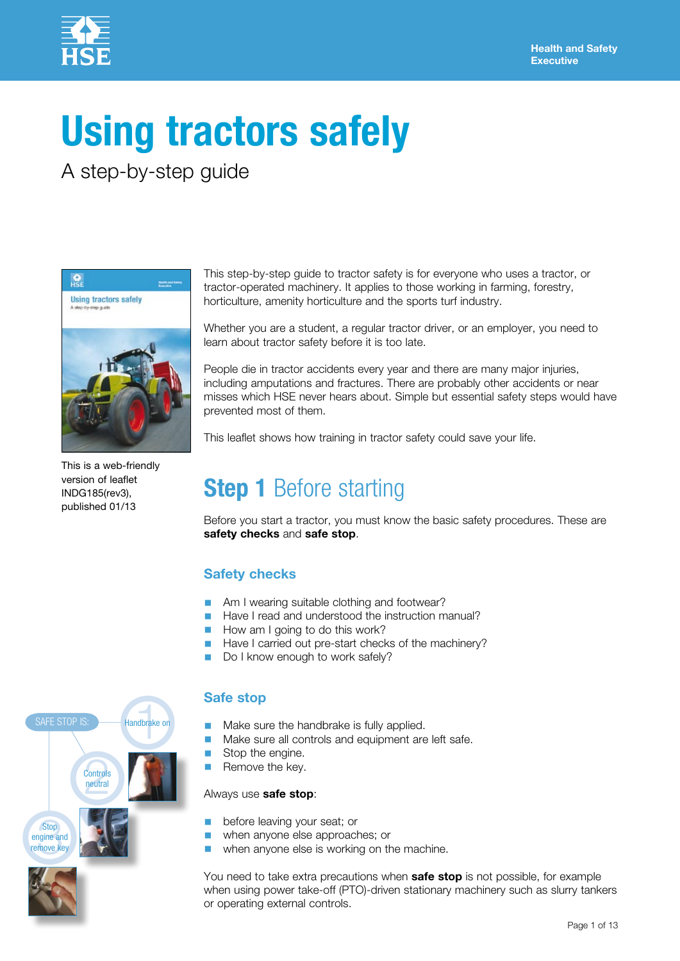

# **Using tractors safely**

A step-by-step guide



This is a web-friendly version of leaflet INDG185(rev3), published 01/13

This step-by-step guide to tractor safety is for everyone who uses a tractor, or tractor-operated machinery. It applies to those working in farming, forestry, horticulture, amenity horticulture and the sports turf industry.

Whether you are a student, a regular tractor driver, or an employer, you need to learn about tractor safety before it is too late.

People die in tractor accidents every year and there are many major injuries, including amputations and fractures. There are probably other accidents or near misses which HSE never hears about. Simple but essential safety steps would have prevented most of them.

This leaflet shows how training in tractor safety could save your life.

# **Step 1** Before starting

Before you start a tractor, you must know the basic safety procedures. These are **safety checks** and **safe stop**.

### **Safety checks**

- Am I wearing suitable clothing and footwear?
- Have I read and understood the instruction manual?
- How am I going to do this work?
- Have I carried out pre-start checks of the machinery?
- Do I know enough to work safely?

### **Safe stop**

- Make sure the handbrake is fully applied.
- Make sure all controls and equipment are left safe.<br>■ Stop the engine.
- Stop the engine.
- Remove the key.

#### Always use **safe stop**:

- before leaving your seat; or
- when anyone else approaches; or
- when anyone else is working on the machine.

You need to take extra precautions when **safe stop** is not possible, for example when using power take-off (PTO)-driven stationary machinery such as slurry tankers or operating external controls.

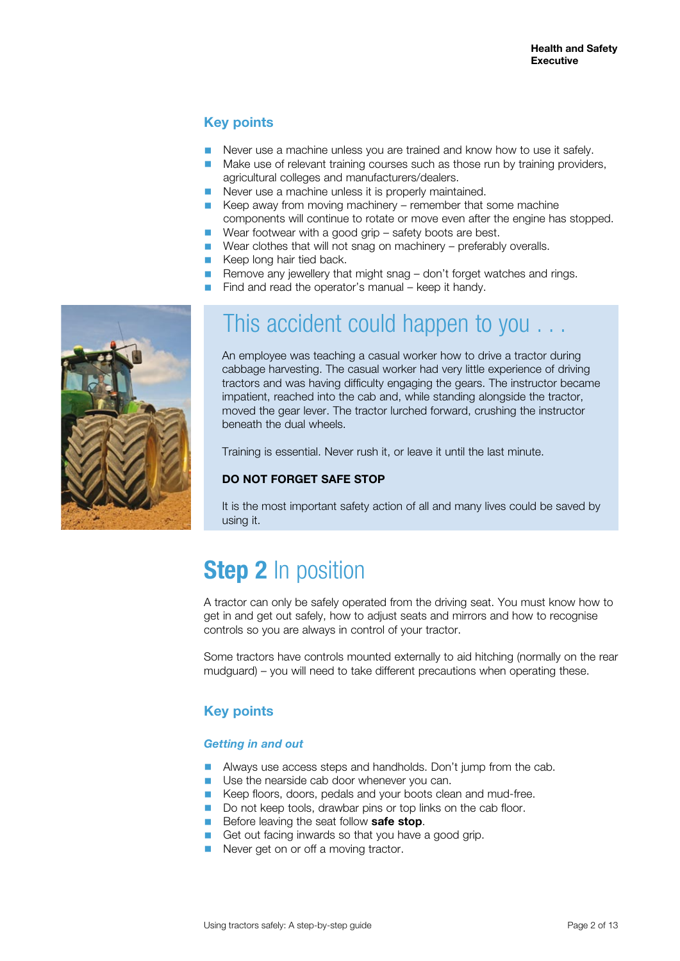### **Key points**

- Never use a machine unless you are trained and know how to use it safely.
- Make use of relevant training courses such as those run by training providers, agricultural colleges and manufacturers/dealers.
- Never use a machine unless it is properly maintained.
- Keep away from moving machinery remember that some machine components will continue to rotate or move even after the engine has stopped.
- Wear footwear with a good grip safety boots are best.
- Wear clothes that will not snag on machinery preferably overalls.
- Keep long hair tied back.
- Remove any jewellery that might snag don't forget watches and rings.
- Find and read the operator's manual keep it handy.



### This accident could happen to you . . .

An employee was teaching a casual worker how to drive a tractor during cabbage harvesting. The casual worker had very little experience of driving tractors and was having difficulty engaging the gears. The instructor became impatient, reached into the cab and, while standing alongside the tractor, moved the gear lever. The tractor lurched forward, crushing the instructor beneath the dual wheels.

Training is essential. Never rush it, or leave it until the last minute.

#### **DO NOT FORGET SAFE STOP**

It is the most important safety action of all and many lives could be saved by using it.

# **Step 2** In position

A tractor can only be safely operated from the driving seat. You must know how to get in and get out safely, how to adjust seats and mirrors and how to recognise controls so you are always in control of your tractor.

Some tractors have controls mounted externally to aid hitching (normally on the rear mudguard) – you will need to take different precautions when operating these.

### **Key points**

#### *Getting in and out*

- Always use access steps and handholds. Don't jump from the cab.
- Use the nearside cab door whenever you can.
- Keep floors, doors, pedals and your boots clean and mud-free.
- Do not keep tools, drawbar pins or top links on the cab floor.
- Before leaving the seat follow **safe stop**.
- Get out facing inwards so that you have a good grip.
- Never get on or off a moving tractor.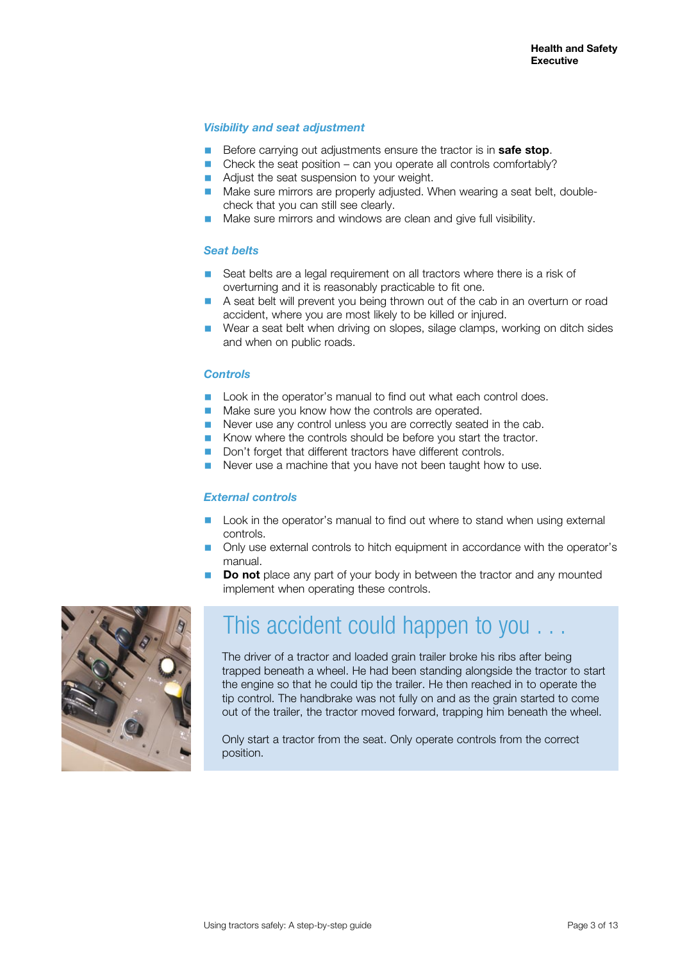#### *Visibility and seat adjustment*

- Before carrying out adjustments ensure the tractor is in **safe stop**.<br>■ Check the seat position can you operate all controls comfortably
- Check the seat position can you operate all controls comfortably?
- Adjust the seat suspension to your weight.
- Make sure mirrors are properly adjusted. When wearing a seat belt, doublecheck that you can still see clearly.
- Make sure mirrors and windows are clean and give full visibility.

#### *Seat belts*

- Seat belts are a legal requirement on all tractors where there is a risk of overturning and it is reasonably practicable to fit one.
- A seat belt will prevent you being thrown out of the cab in an overturn or road accident, where you are most likely to be killed or injured.
- Wear a seat belt when driving on slopes, silage clamps, working on ditch sides and when on public roads.

#### *Controls*

- Look in the operator's manual to find out what each control does.
- Make sure you know how the controls are operated.
- Never use any control unless you are correctly seated in the cab.
- Know where the controls should be before you start the tractor.
- Don't forget that different tractors have different controls.
- Never use a machine that you have not been taught how to use.

#### *External controls*

- Look in the operator's manual to find out where to stand when using external controls.
- Only use external controls to hitch equipment in accordance with the operator's manual.
- **Do not** place any part of your body in between the tractor and any mounted implement when operating these controls.



### This accident could happen to you

The driver of a tractor and loaded grain trailer broke his ribs after being trapped beneath a wheel. He had been standing alongside the tractor to start the engine so that he could tip the trailer. He then reached in to operate the tip control. The handbrake was not fully on and as the grain started to come out of the trailer, the tractor moved forward, trapping him beneath the wheel.

Only start a tractor from the seat. Only operate controls from the correct position.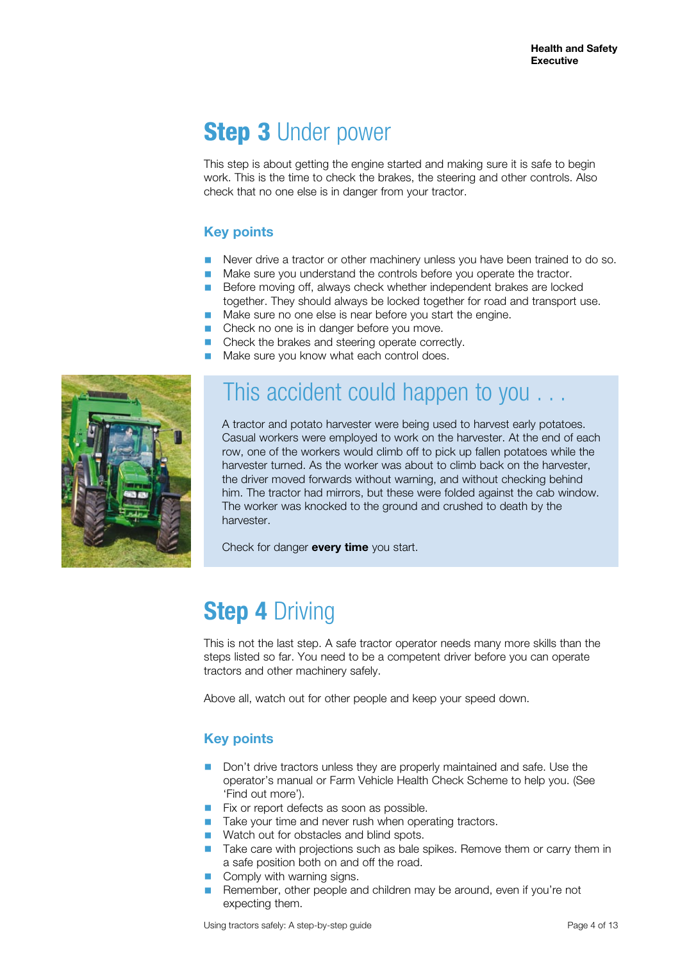# **Step 3 Under power**

This step is about getting the engine started and making sure it is safe to begin work. This is the time to check the brakes, the steering and other controls. Also check that no one else is in danger from your tractor.

### **Key points**

- Never drive a tractor or other machinery unless you have been trained to do so.<br>■ Make sure you understand the controls before you eperate the tractor
- Make sure you understand the controls before you operate the tractor.
- Before moving off, always check whether independent brakes are locked together. They should always be locked together for road and transport use.
- Make sure no one else is near before you start the engine.<br>■ Check no one is in danger before you move
- Check no one is in danger before you move.<br>■ Check the brakes and steering operate corre
- Check the brakes and steering operate correctly.
- Make sure you know what each control does.



### This accident could happen to you . . .

A tractor and potato harvester were being used to harvest early potatoes. Casual workers were employed to work on the harvester. At the end of each row, one of the workers would climb off to pick up fallen potatoes while the harvester turned. As the worker was about to climb back on the harvester, the driver moved forwards without warning, and without checking behind him. The tractor had mirrors, but these were folded against the cab window. The worker was knocked to the ground and crushed to death by the harvester.

Check for danger **every time** you start.

# **Step 4** Driving

This is not the last step. A safe tractor operator needs many more skills than the steps listed so far. You need to be a competent driver before you can operate tractors and other machinery safely.

Above all, watch out for other people and keep your speed down.

### **Key points**

- Don't drive tractors unless they are properly maintained and safe. Use the operator's manual or Farm Vehicle Health Check Scheme to help you. (See 'Find out more').
- Fix or report defects as soon as possible.
- Take your time and never rush when operating tractors.
- Watch out for obstacles and blind spots.
- Take care with projections such as bale spikes. Remove them or carry them in a safe position both on and off the road.
- Comply with warning signs.
- Remember, other people and children may be around, even if you're not expecting them.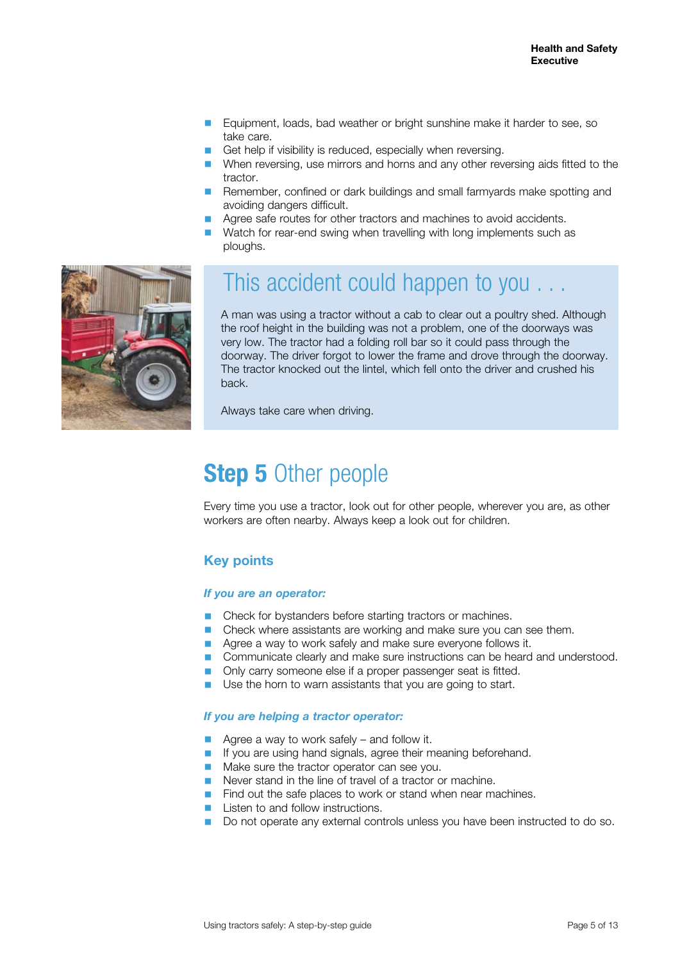- Equipment, loads, bad weather or bright sunshine make it harder to see, so take care.
- Get help if visibility is reduced, especially when reversing.
- When reversing, use mirrors and horns and any other reversing aids fitted to the tractor.
- Remember, confined or dark buildings and small farmyards make spotting and avoiding dangers difficult.
- Agree safe routes for other tractors and machines to avoid accidents.
- Watch for rear-end swing when travelling with long implements such as ploughs.



### This accident could happen to you . . .

A man was using a tractor without a cab to clear out a poultry shed. Although the roof height in the building was not a problem, one of the doorways was very low. The tractor had a folding roll bar so it could pass through the doorway. The driver forgot to lower the frame and drove through the doorway. The tractor knocked out the lintel, which fell onto the driver and crushed his back.

Always take care when driving.

### **Step 5** Other people

Every time you use a tractor, look out for other people, wherever you are, as other workers are often nearby. Always keep a look out for children.

#### **Key points**

#### *If you are an operator:*

- Check for bystanders before starting tractors or machines.
- Check where assistants are working and make sure you can see them.
- Agree a way to work safely and make sure everyone follows it.
- Communicate clearly and make sure instructions can be heard and understood.
- Only carry someone else if a proper passenger seat is fitted.
- Use the horn to warn assistants that you are going to start.

#### *If you are helping a tractor operator:*

- Agree a way to work safely and follow it.
- If you are using hand signals, agree their meaning beforehand.
- Make sure the tractor operator can see you.
- Never stand in the line of travel of a tractor or machine.
- Find out the safe places to work or stand when near machines.
- Listen to and follow instructions.
- Do not operate any external controls unless you have been instructed to do so.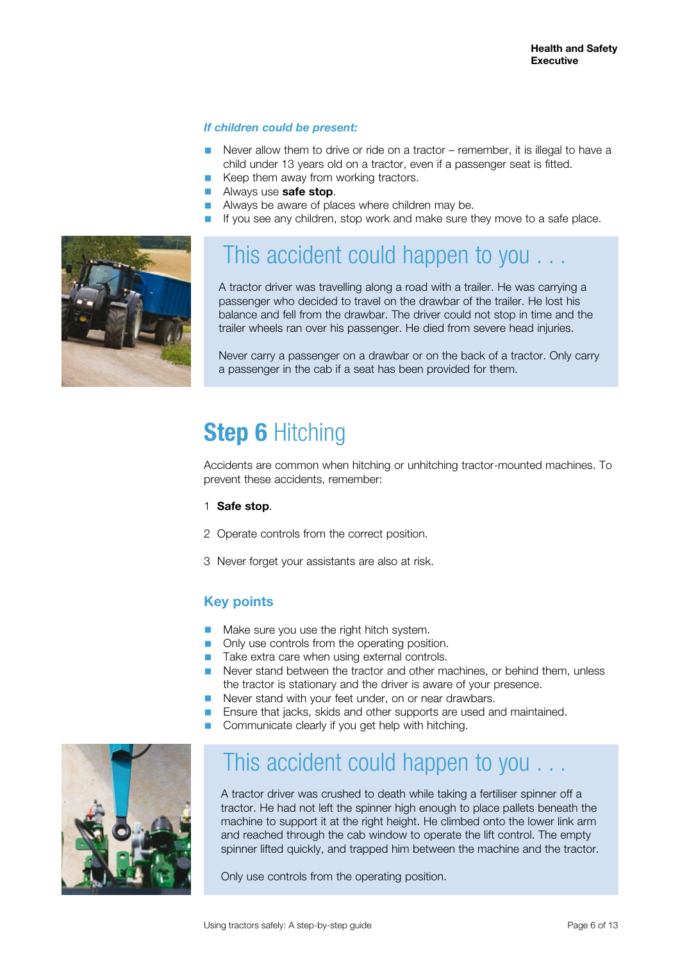#### *If children could be present:*

- Never allow them to drive or ride on a tractor remember, it is illegal to have a child under 13 years old on a tractor, even if a passenger seat is fitted.
- Keep them away from working tractors.
- Always use **safe stop**.
- Always be aware of places where children may be.
- If you see any children, stop work and make sure they move to a safe place.



### This accident could happen to you . . .

A tractor driver was travelling along a road with a trailer. He was carrying a passenger who decided to travel on the drawbar of the trailer. He lost his balance and fell from the drawbar. The driver could not stop in time and the trailer wheels ran over his passenger. He died from severe head injuries.

Never carry a passenger on a drawbar or on the back of a tractor. Only carry a passenger in the cab if a seat has been provided for them.

# **Step 6** Hitching

Accidents are common when hitching or unhitching tractor-mounted machines. To prevent these accidents, remember:

- 1 **Safe stop**.
- 2 Operate controls from the correct position.
- 3 Never forget your assistants are also at risk.

#### **Key points**

- Make sure you use the right hitch system.
- Only use controls from the operating position.
- Take extra care when using external controls.
- Never stand between the tractor and other machines, or behind them, unless the tractor is stationary and the driver is aware of your presence.
- Never stand with your feet under, on or near drawbars.
- Ensure that jacks, skids and other supports are used and maintained.
- Communicate clearly if you get help with hitching.



### This accident could happen to you . . .

A tractor driver was crushed to death while taking a fertiliser spinner off a tractor. He had not left the spinner high enough to place pallets beneath the machine to support it at the right height. He climbed onto the lower link arm and reached through the cab window to operate the lift control. The empty spinner lifted quickly, and trapped him between the machine and the tractor.

Only use controls from the operating position.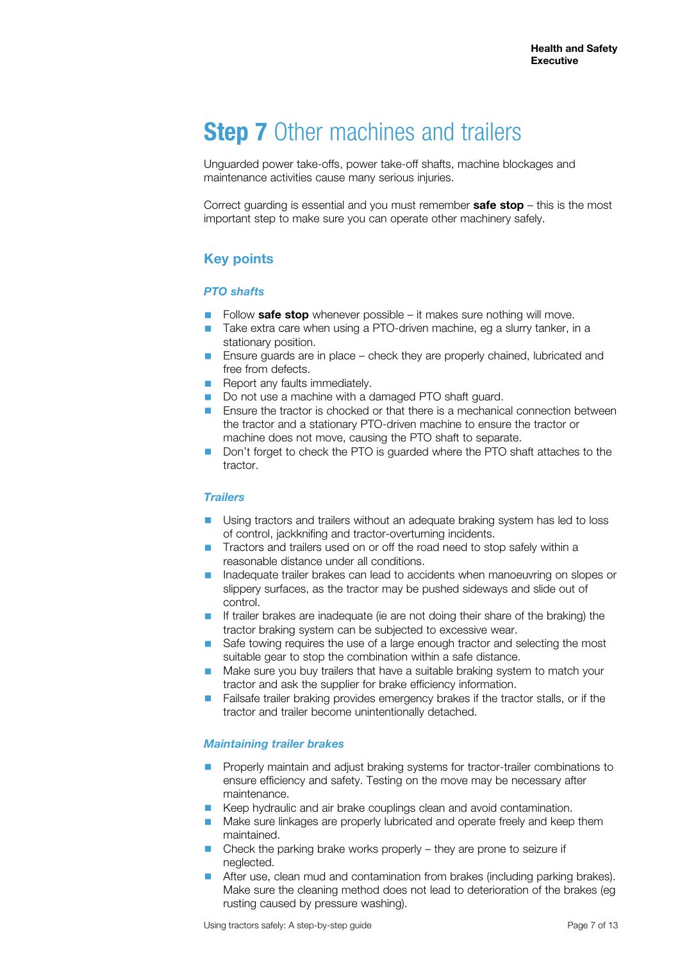# **Step 7** Other machines and trailers

Unguarded power take-offs, power take-off shafts, machine blockages and maintenance activities cause many serious injuries.

Correct guarding is essential and you must remember **safe stop** – this is the most important step to make sure you can operate other machinery safely.

### **Key points**

#### *PTO shafts*

- Follow **safe stop** whenever possible it makes sure nothing will move.<br>■ Take extra care when using a PTO-driven machine, eg a slurry tanker.
- Take extra care when using a PTO-driven machine, eg a slurry tanker, in a stationary position.
- Ensure guards are in place check they are properly chained, lubricated and free from defects.
- Report any faults immediately.
- Do not use a machine with a damaged PTO shaft guard.
- Ensure the tractor is chocked or that there is a mechanical connection between the tractor and a stationary PTO-driven machine to ensure the tractor or machine does not move, causing the PTO shaft to separate.
- Don't forget to check the PTO is guarded where the PTO shaft attaches to the tractor.

#### *Trailers*

- Using tractors and trailers without an adequate braking system has led to loss of control, jackknifing and tractor-overturning incidents.
- Tractors and trailers used on or off the road need to stop safely within a reasonable distance under all conditions.
- Inadequate trailer brakes can lead to accidents when manoeuvring on slopes or slippery surfaces, as the tractor may be pushed sideways and slide out of control.
- If trailer brakes are inadequate (ie are not doing their share of the braking) the tractor braking system can be subjected to excessive wear.
- Safe towing requires the use of a large enough tractor and selecting the most suitable gear to stop the combination within a safe distance.
- Make sure you buy trailers that have a suitable braking system to match your tractor and ask the supplier for brake efficiency information.
- Failsafe trailer braking provides emergency brakes if the tractor stalls, or if the tractor and trailer become unintentionally detached.

#### *Maintaining trailer brakes*

- Properly maintain and adjust braking systems for tractor-trailer combinations to ensure efficiency and safety. Testing on the move may be necessary after maintenance.
- Keep hydraulic and air brake couplings clean and avoid contamination.
- Make sure linkages are properly lubricated and operate freely and keep them maintained.
- Check the parking brake works properly they are prone to seizure if neglected.
- After use, clean mud and contamination from brakes (including parking brakes). Make sure the cleaning method does not lead to deterioration of the brakes (eg rusting caused by pressure washing).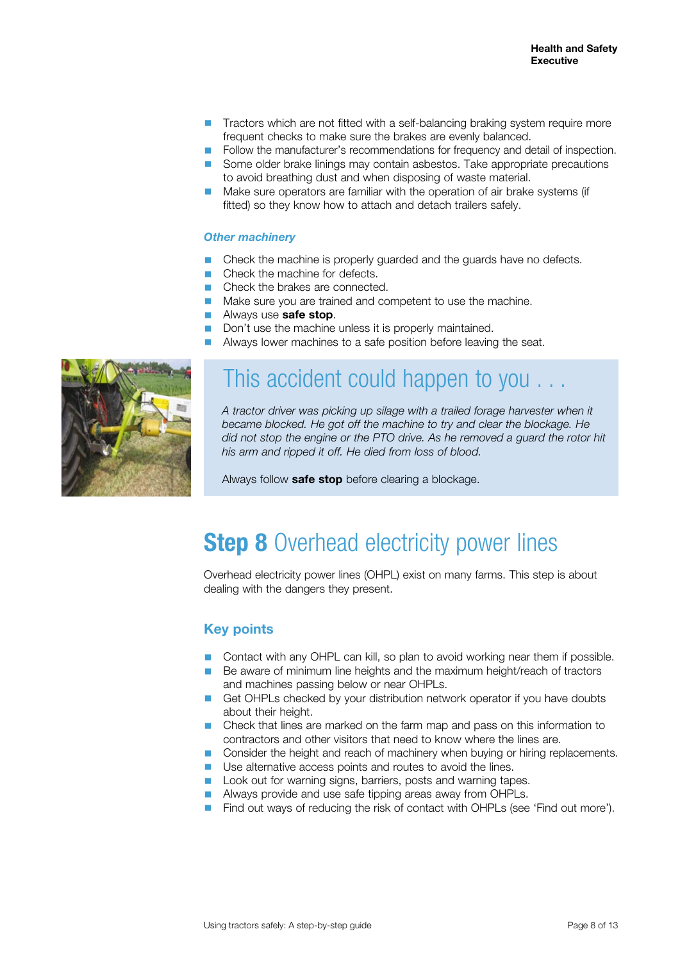- Tractors which are not fitted with a self-balancing braking system require more frequent checks to make sure the brakes are evenly balanced.
- Follow the manufacturer's recommendations for frequency and detail of inspection.
- Some older brake linings may contain asbestos. Take appropriate precautions to avoid breathing dust and when disposing of waste material.
- Make sure operators are familiar with the operation of air brake systems (if fitted) so they know how to attach and detach trailers safely.

#### *Other machinery*

- Check the machine is properly guarded and the guards have no defects.
- Check the machine for defects.
- Check the brakes are connected.
- Make sure you are trained and competent to use the machine.
- Always use **safe stop.**<br>■ Don't use the machine
- Don't use the machine unless it is properly maintained.<br>■ Always lower machines to a safe position before leaving
- Always lower machines to a safe position before leaving the seat.



### This accident could happen to you . . .

*A tractor driver was picking up silage with a trailed forage harvester when it became blocked. He got off the machine to try and clear the blockage. He did not stop the engine or the PTO drive. As he removed a guard the rotor hit his arm and ripped it off. He died from loss of blood.* 

Always follow **safe stop** before clearing a blockage.

### **Step 8** Overhead electricity power lines

Overhead electricity power lines (OHPL) exist on many farms. This step is about dealing with the dangers they present.

#### **Key points**

- Contact with any OHPL can kill, so plan to avoid working near them if possible.
- Be aware of minimum line heights and the maximum height/reach of tractors and machines passing below or near OHPLs.
- Get OHPLs checked by your distribution network operator if you have doubts about their height.
- Check that lines are marked on the farm map and pass on this information to contractors and other visitors that need to know where the lines are.
- Consider the height and reach of machinery when buying or hiring replacements.
- Use alternative access points and routes to avoid the lines.
- Look out for warning signs, barriers, posts and warning tapes.
- Always provide and use safe tipping areas away from OHPLs.
- Find out ways of reducing the risk of contact with OHPLs (see 'Find out more').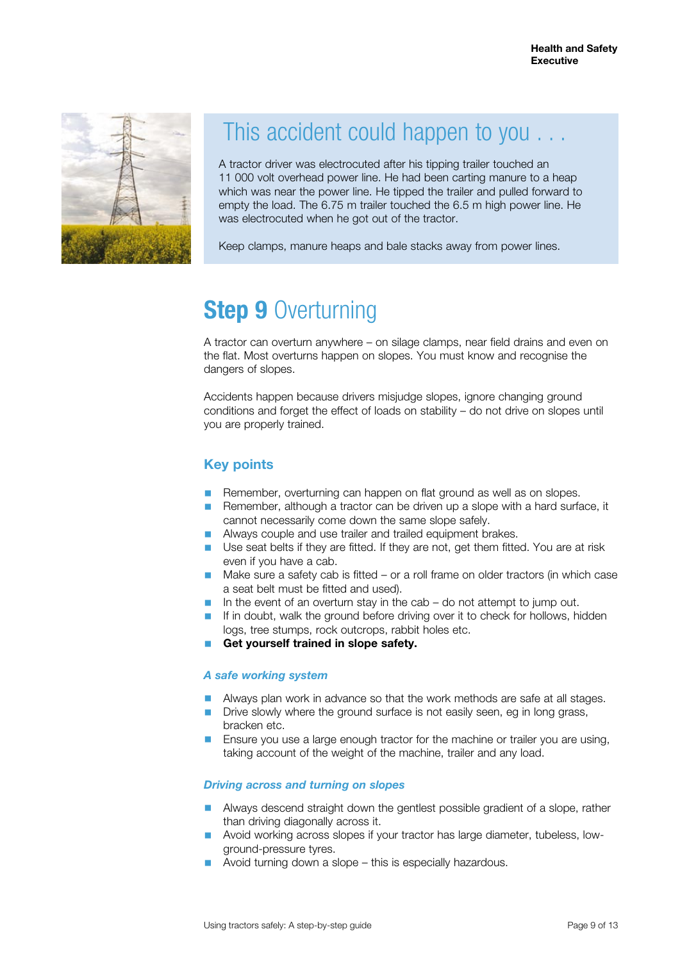

## This accident could happen to you . . .

A tractor driver was electrocuted after his tipping trailer touched an 11 000 volt overhead power line. He had been carting manure to a heap which was near the power line. He tipped the trailer and pulled forward to empty the load. The 6.75 m trailer touched the 6.5 m high power line. He was electrocuted when he got out of the tractor.

Keep clamps, manure heaps and bale stacks away from power lines.

# **Step 9** Overturning

A tractor can overturn anywhere – on silage clamps, near field drains and even on the flat. Most overturns happen on slopes. You must know and recognise the dangers of slopes.

Accidents happen because drivers misjudge slopes, ignore changing ground conditions and forget the effect of loads on stability – do not drive on slopes until you are properly trained.

### **Key points**

- Remember, overturning can happen on flat ground as well as on slopes.
- Remember, although a tractor can be driven up a slope with a hard surface, it cannot necessarily come down the same slope safely.
- Always couple and use trailer and trailed equipment brakes.
- Use seat belts if they are fitted. If they are not, get them fitted. You are at risk even if you have a cab.
- Make sure a safety cab is fitted or a roll frame on older tractors (in which case a seat belt must be fitted and used).
- In the event of an overturn stay in the cab do not attempt to jump out.
- If in doubt, walk the ground before driving over it to check for hollows, hidden logs, tree stumps, rock outcrops, rabbit holes etc.
- Get yourself trained in slope safety.

#### *A safe working system*

- Always plan work in advance so that the work methods are safe at all stages.
- Drive slowly where the ground surface is not easily seen, eg in long grass, bracken etc.
- Ensure you use a large enough tractor for the machine or trailer you are using, taking account of the weight of the machine, trailer and any load.

#### *Driving across and turning on slopes*

- Always descend straight down the gentlest possible gradient of a slope, rather than driving diagonally across it.
- Avoid working across slopes if your tractor has large diameter, tubeless, lowground-pressure tyres.
- Avoid turning down a slope this is especially hazardous.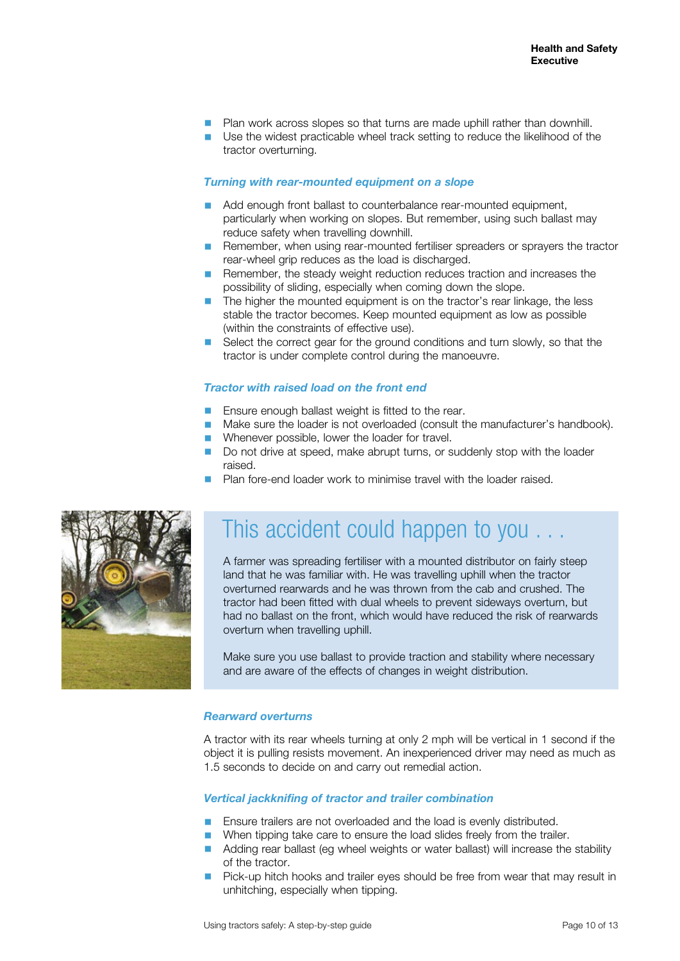- Plan work across slopes so that turns are made uphill rather than downhill.
- Use the widest practicable wheel track setting to reduce the likelihood of the tractor overturning.

#### *Turning with rear-mounted equipment on a slope*

- Add enough front ballast to counterbalance rear-mounted equipment, particularly when working on slopes. But remember, using such ballast may reduce safety when travelling downhill.
- Remember, when using rear-mounted fertiliser spreaders or sprayers the tractor rear-wheel grip reduces as the load is discharged.
- Remember, the steady weight reduction reduces traction and increases the possibility of sliding, especially when coming down the slope.
- The higher the mounted equipment is on the tractor's rear linkage, the less stable the tractor becomes. Keep mounted equipment as low as possible (within the constraints of effective use).
- Select the correct gear for the ground conditions and turn slowly, so that the tractor is under complete control during the manoeuvre.

#### *Tractor with raised load on the front end*

- Ensure enough ballast weight is fitted to the rear.
- Make sure the loader is not overloaded (consult the manufacturer's handbook).
- Whenever possible, lower the loader for travel.
- Do not drive at speed, make abrupt turns, or suddenly stop with the loader raised.
- Plan fore-end loader work to minimise travel with the loader raised.



### This accident could happen to you . . .

A farmer was spreading fertiliser with a mounted distributor on fairly steep land that he was familiar with. He was travelling uphill when the tractor overturned rearwards and he was thrown from the cab and crushed. The tractor had been fitted with dual wheels to prevent sideways overturn, but had no ballast on the front, which would have reduced the risk of rearwards overturn when travelling uphill.

Make sure you use ballast to provide traction and stability where necessary and are aware of the effects of changes in weight distribution.

#### *Rearward overturns*

A tractor with its rear wheels turning at only 2 mph will be vertical in 1 second if the object it is pulling resists movement. An inexperienced driver may need as much as 1.5 seconds to decide on and carry out remedial action.

#### *Vertical jackknifing of tractor and trailer combination*

- Ensure trailers are not overloaded and the load is evenly distributed.
- When tipping take care to ensure the load slides freely from the trailer.
	- Adding rear ballast (eg wheel weights or water ballast) will increase the stability of the tractor.
	- Pick-up hitch hooks and trailer eyes should be free from wear that may result in unhitching, especially when tipping.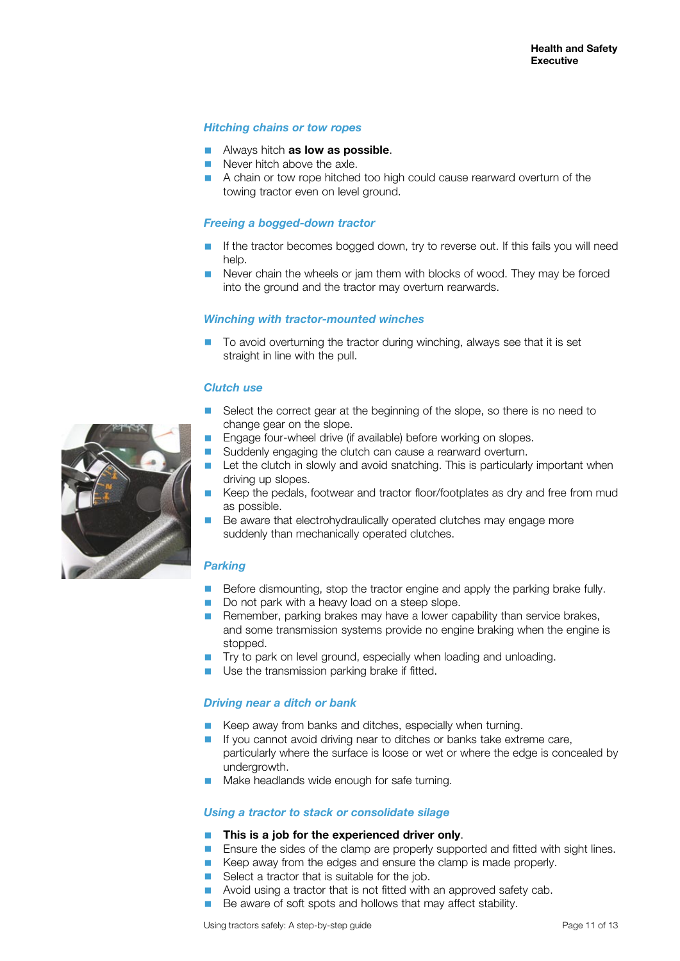#### *Hitching chains or tow ropes*

- Always hitch **as low as possible**.
- Never hitch above the axle.
- A chain or tow rope hitched too high could cause rearward overturn of the towing tractor even on level ground.

#### *Freeing a bogged-down tractor*

- If the tractor becomes bogged down, try to reverse out. If this fails you will need help.
- Never chain the wheels or jam them with blocks of wood. They may be forced into the ground and the tractor may overturn rearwards.

#### *Winching with tractor-mounted winches*

To avoid overturning the tractor during winching, always see that it is set straight in line with the pull.

#### *Clutch use*

- Select the correct gear at the beginning of the slope, so there is no need to change gear on the slope.
- Engage four-wheel drive (if available) before working on slopes.
- Suddenly engaging the clutch can cause a rearward overturn.
- Let the clutch in slowly and avoid snatching. This is particularly important when driving up slopes.
- Keep the pedals, footwear and tractor floor/footplates as dry and free from mud as possible.
- Be aware that electrohydraulically operated clutches may engage more suddenly than mechanically operated clutches.

#### *Parking*

- Before dismounting, stop the tractor engine and apply the parking brake fully.
- Do not park with a heavy load on a steep slope.
- Remember, parking brakes may have a lower capability than service brakes, and some transmission systems provide no engine braking when the engine is stopped.
- Try to park on level ground, especially when loading and unloading.
- Use the transmission parking brake if fitted.

#### *Driving near a ditch or bank*

- Keep away from banks and ditches, especially when turning.
- If you cannot avoid driving near to ditches or banks take extreme care, particularly where the surface is loose or wet or where the edge is concealed by undergrowth.
- Make headlands wide enough for safe turning.

#### *Using a tractor to stack or consolidate silage*

#### **This is a job for the experienced driver only.**

- Ensure the sides of the clamp are properly supported and fitted with sight lines.
- Keep away from the edges and ensure the clamp is made properly.
- Select a tractor that is suitable for the job.
- Avoid using a tractor that is not fitted with an approved safety cab.
- Be aware of soft spots and hollows that may affect stability.

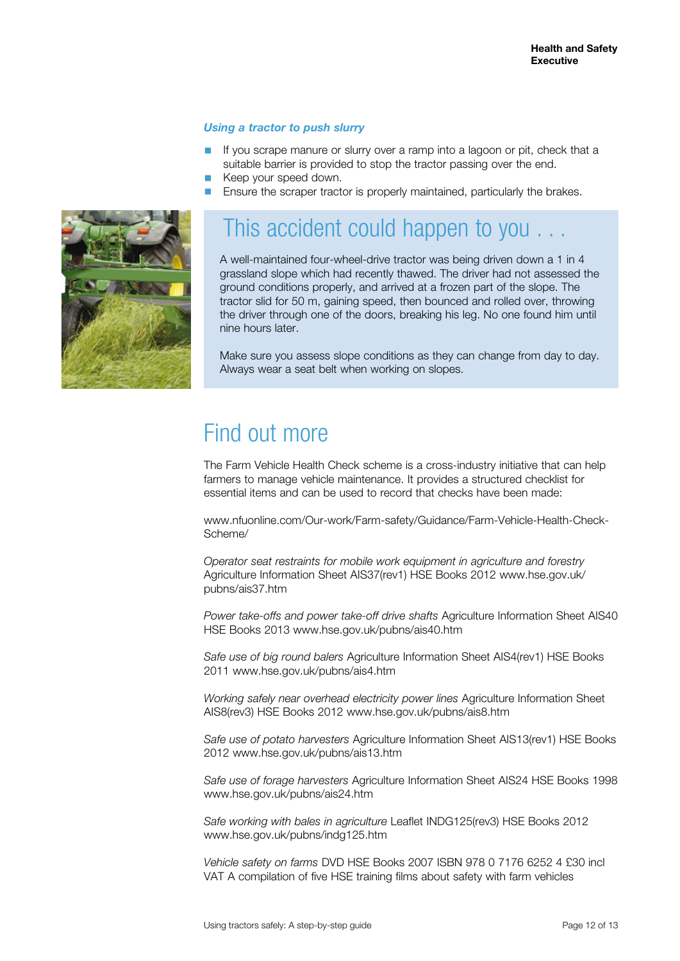#### *Using a tractor to push slurry*

- If you scrape manure or slurry over a ramp into a lagoon or pit, check that a suitable barrier is provided to stop the tractor passing over the end.
- Keep your speed down.
- Ensure the scraper tractor is properly maintained, particularly the brakes.



### This accident could happen to you.

A well-maintained four-wheel-drive tractor was being driven down a 1 in 4 grassland slope which had recently thawed. The driver had not assessed the ground conditions properly, and arrived at a frozen part of the slope. The tractor slid for 50 m, gaining speed, then bounced and rolled over, throwing the driver through one of the doors, breaking his leg. No one found him until nine hours later.

Make sure you assess slope conditions as they can change from day to day. Always wear a seat belt when working on slopes.

### Find out more

The Farm Vehicle Health Check scheme is a cross-industry initiative that can help farmers to manage vehicle maintenance. It provides a structured checklist for essential items and can be used to record that checks have been made:

www.nfuonline.com/Our-work/Farm-safety/Guidance/Farm-Vehicle-Health-Check-Scheme/

*Operator seat restraints for mobile work equipment in agriculture and forestry*  Agriculture Information Sheet AIS37(rev1) HSE Books 2012 www.hse.gov.uk/ pubns/ais37.htm

*Power take-offs and power take-off drive shafts Agriculture Information Sheet AIS40* HSE Books 2013 www.hse.gov.uk/pubns/ais40.htm

*Safe use of big round balers* Agriculture Information Sheet AIS4(rev1) HSE Books 2011 www.hse.gov.uk/pubns/ais4.htm

*Working safely near overhead electricity power lines* Agriculture Information Sheet AIS8(rev3) HSE Books 2012 www.hse.gov.uk/pubns/ais8.htm

*Safe use of potato harvesters* Agriculture Information Sheet AIS13(rev1) HSE Books 2012 www.hse.gov.uk/pubns/ais13.htm

*Safe use of forage harvesters* Agriculture Information Sheet AIS24 HSE Books 1998 www.hse.gov.uk/pubns/ais24.htm

*Safe working with bales in agriculture* Leaflet INDG125(rev3) HSE Books 2012 www.hse.gov.uk/pubns/indg125.htm

*Vehicle safety on farms* DVD HSE Books 2007 ISBN 978 0 7176 6252 4 £30 incl VAT A compilation of five HSE training films about safety with farm vehicles